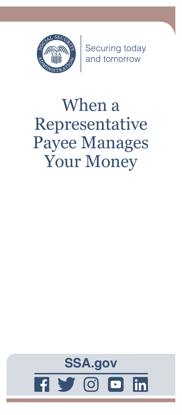

Securing today<br>and tomorrow

# When a Representative Payee Manages Your Money

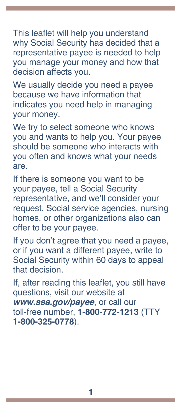This leaflet will help you understand why Social Security has decided that a representative payee is needed to help you manage your money and how that decision affects you.

We usually decide you need a payee because we have information that indicates you need help in managing your money.

We try to select someone who knows you and wants to help you. Your payee should be someone who interacts with you often and knows what your needs are.

If there is someone you want to be your payee, tell a Social Security representative, and we'll consider your request. Social service agencies, nursing homes, or other organizations also can offer to be your payee.

If you don't agree that you need a payee, or if you want a different payee, write to Social Security within 60 days to appeal that decision.

If, after reading this leaflet, you still have questions, visit our website at *[www.ssa.gov/payee](http://www.socialsecurity.gov/payee)*, or call our toll-free number, **1-800-772-1213** (TTY **1-800-325-0778**).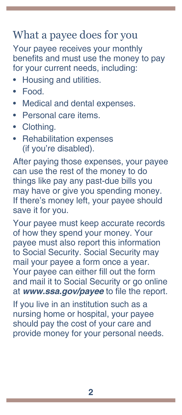# What a payee does for you

Your payee receives your monthly benefits and must use the money to pay for your current needs, including:

- Housing and utilities.
- Food.
- Medical and dental expenses.
- Personal care items.
- Clothing.
- Rehabilitation expenses (if you're disabled).

After paying those expenses, your payee can use the rest of the money to do things like pay any past-due bills you may have or give you spending money. If there's money left, your payee should save it for you.

Your payee must keep accurate records of how they spend your money. Your payee must also report this information to Social Security. Social Security may mail your payee a form once a year. Your payee can either fill out the form and mail it to Social Security or go online at *[www.ssa.gov/payee](http://www.socialsecurity.gov/payee)* to file the report.

If you live in an institution such as a nursing home or hospital, your payee should pay the cost of your care and provide money for your personal needs.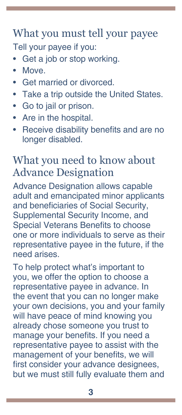#### What you must tell your payee Tell your payee if you:

- Get a job or stop working.
- Move.
- Get married or divorced.
- Take a trip outside the United States.
- Go to jail or prison.
- Are in the hospital.
- Receive disability benefits and are no longer disabled.

#### What you need to know about Advance Designation

Advance Designation allows capable adult and emancipated minor applicants and beneficiaries of Social Security, Supplemental Security Income, and Special Veterans Benefits to choose one or more individuals to serve as their representative payee in the future, if the need arises.

To help protect what's important to you, we offer the option to choose a representative payee in advance. In the event that you can no longer make your own decisions, you and your family will have peace of mind knowing you already chose someone you trust to manage your benefits. If you need a representative payee to assist with the management of your benefits, we will first consider your advance designees, but we must still fully evaluate them and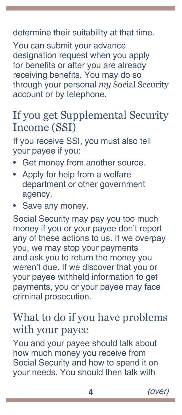#### determine their suitability at that time.

You can submit your advance designation request when you apply for benefits or after you are already receiving benefits. You may do so through your personal *my* [Social Security](https://www.ssa.gov/myaccount/) [account](https://www.ssa.gov/myaccount/) or by telephone.

## If you get Supplemental Security Income (SSI)

If you receive SSI, you must also tell your payee if you:

- Get money from another source.
- Apply for help from a welfare department or other government agency.
- Save any money.

Social Security may pay you too much money if you or your payee don't report any of these actions to us. If we overpay you, we may stop your payments and ask you to return the money you weren't due. If we discover that you or your payee withheld information to get payments, you or your payee may face criminal prosecution.

## What to do if you have problems with your payee

You and your payee should talk about how much money you receive from Social Security and how to spend it on your needs. You should then talk with

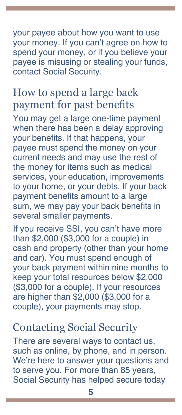your payee about how you want to use your money. If you can't agree on how to spend your money, or if you believe your payee is misusing or stealing your funds, contact Social Security.

## How to spend a large back payment for past benefits

You may get a large one-time payment when there has been a delay approving your benefits. If that happens, your payee must spend the money on your current needs and may use the rest of the money for items such as medical services, your education, improvements to your home, or your debts. If your back payment benefits amount to a large sum, we may pay your back benefits in several smaller payments.

If you receive SSI, you can't have more than \$2,000 (\$3,000 for a couple) in cash and property (other than your home and car). You must spend enough of your back payment within nine months to keep your total resources below \$2,000 (\$3,000 for a couple). If your resources are higher than \$2,000 (\$3,000 for a couple), your payments may stop.

## Contacting Social Security

There are several ways to contact us, such as online, by phone, and in person. We're here to answer your questions and to serve you. For more than 85 years, Social Security has helped secure today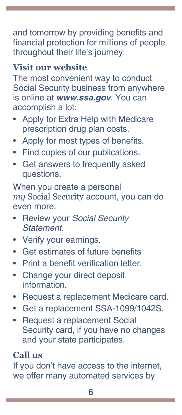and tomorrow by providing benefits and financial protection for millions of people throughout their life's journey.

#### **Visit our website**

The most convenient way to conduct Social Security business from anywhere is online at *[www.ssa.gov](http://www.socialsecurity.gov)*. You can accomplish a lot:

- Apply for [Extra Help with Medicare](https://www.ssa.gov/i1020/)  [prescription drug plan costs](https://www.ssa.gov/i1020/).
- Apply for most types of [benefits.](http://www.ssa.gov/applyforbenefits)
- Find copies of our [publications](https://www.ssa.gov/pubs/).
- Get answers to [frequently asked](https://faq.ssa.gov/)  [questions.](https://faq.ssa.gov/)

When you create a personal *my* [Social Security](https://www.ssa.gov/myaccount/) account, you can do even more.

- Review your *[Social Security](https://www.ssa.gov/myaccount/statement.html)  [Statement](https://www.ssa.gov/myaccount/statement.html)*.
- Verify your [earnings](https://faq.ssa.gov/en-us/Topic/article/KA-01741).
- Get estimates of future benefits
- Print a [benefit verification letter.](https://www.ssa.gov/myaccount/proof-of-benefits.html)
- Change your [direct deposit](https://www.ssa.gov/myaccount/direct-deposit.html) information.
- Request a [replacement Medicare card](https://faq.ssa.gov/en-us/Topic/article/KA-01735).
- Get a [replacement SSA-1099/1042S.](https://www.ssa.gov/myaccount/replacement-SSA-1099.html)
- Request a [replacement Social](https://www.ssa.gov/myaccount/replacement-card.html)  [Security card](https://www.ssa.gov/myaccount/replacement-card.html), if you have no changes and your state participates.

#### **Call us**

If you don't have access to the internet, we offer many automated services by